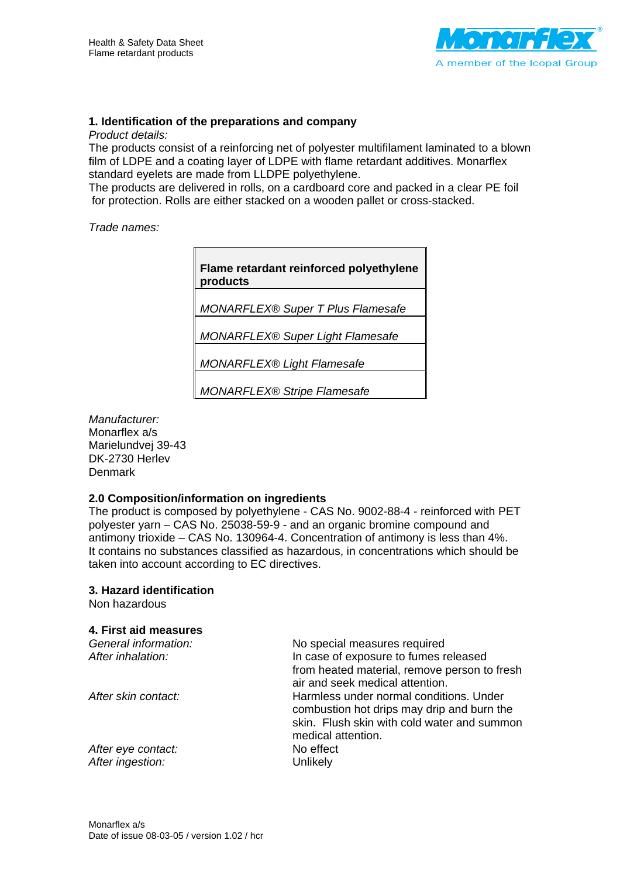

#### **1. Identification of the preparations and company**

*Product details:* 

The products consist of a reinforcing net of polyester multifilament laminated to a blown film of LDPE and a coating layer of LDPE with flame retardant additives. Monarflex standard eyelets are made from LLDPE polyethylene.

The products are delivered in rolls, on a cardboard core and packed in a clear PE foil for protection. Rolls are either stacked on a wooden pallet or cross-stacked.

*Trade names:* 

**Flame retardant reinforced polyethylene products** 

*MONARFLEX® Super T Plus Flamesafe* 

*MONARFLEX® Super Light Flamesafe* 

*MONARFLEX® Light Flamesafe* 

*MONARFLEX® Stripe Flamesafe* 

*Manufacturer:*  Monarflex a/s Marielundvej 39-43 DK-2730 Herlev Denmark

#### **2.0 Composition/information on ingredients**

The product is composed by polyethylene - CAS No. 9002-88-4 - reinforced with PET polyester yarn – CAS No. 25038-59-9 - and an organic bromine compound and antimony trioxide – CAS No. 130964-4. Concentration of antimony is less than 4%. It contains no substances classified as hazardous, in concentrations which should be taken into account according to EC directives.

#### **3. Hazard identification**

Non hazardous

#### **4. First aid measures**

| General information: | No special measures required                                                          |
|----------------------|---------------------------------------------------------------------------------------|
| After inhalation:    | In case of exposure to fumes released                                                 |
|                      | from heated material, remove person to fresh<br>air and seek medical attention.       |
| After skin contact:  | Harmless under normal conditions. Under<br>combustion hot drips may drip and burn the |
|                      | skin. Flush skin with cold water and summon                                           |
|                      | medical attention.                                                                    |
| After eye contact:   | No effect                                                                             |
| After ingestion:     | Unlikely                                                                              |